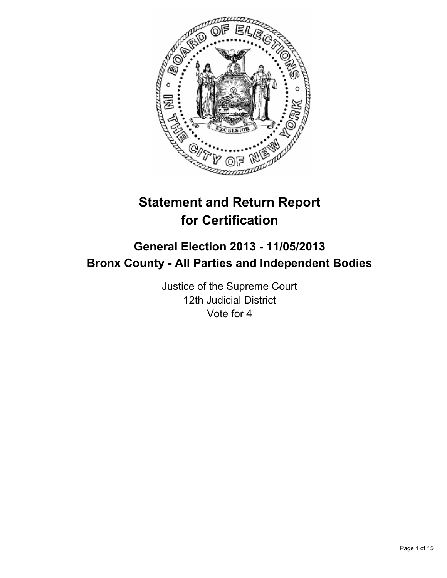

# **Statement and Return Report for Certification**

## **General Election 2013 - 11/05/2013 Bronx County - All Parties and Independent Bodies**

Justice of the Supreme Court 12th Judicial District Vote for 4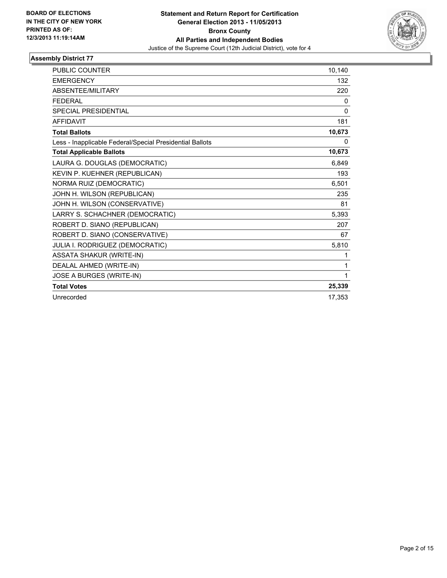

| <b>PUBLIC COUNTER</b>                                    | 10,140       |
|----------------------------------------------------------|--------------|
| <b>EMERGENCY</b>                                         | 132          |
| ABSENTEE/MILITARY                                        | 220          |
| <b>FEDERAL</b>                                           | 0            |
| <b>SPECIAL PRESIDENTIAL</b>                              | $\mathbf{0}$ |
| <b>AFFIDAVIT</b>                                         | 181          |
| <b>Total Ballots</b>                                     | 10,673       |
| Less - Inapplicable Federal/Special Presidential Ballots | 0            |
| <b>Total Applicable Ballots</b>                          | 10,673       |
| LAURA G. DOUGLAS (DEMOCRATIC)                            | 6.849        |
| KEVIN P. KUEHNER (REPUBLICAN)                            | 193          |
| NORMA RUIZ (DEMOCRATIC)                                  | 6,501        |
| JOHN H. WILSON (REPUBLICAN)                              | 235          |
| JOHN H. WILSON (CONSERVATIVE)                            | 81           |
| LARRY S. SCHACHNER (DEMOCRATIC)                          | 5,393        |
| ROBERT D. SIANO (REPUBLICAN)                             | 207          |
| ROBERT D. SIANO (CONSERVATIVE)                           | 67           |
| JULIA I. RODRIGUEZ (DEMOCRATIC)                          | 5,810        |
| <b>ASSATA SHAKUR (WRITE-IN)</b>                          | 1            |
| DEALAL AHMED (WRITE-IN)                                  | 1            |
| JOSE A BURGES (WRITE-IN)                                 | 1            |
| <b>Total Votes</b>                                       | 25,339       |
| Unrecorded                                               | 17.353       |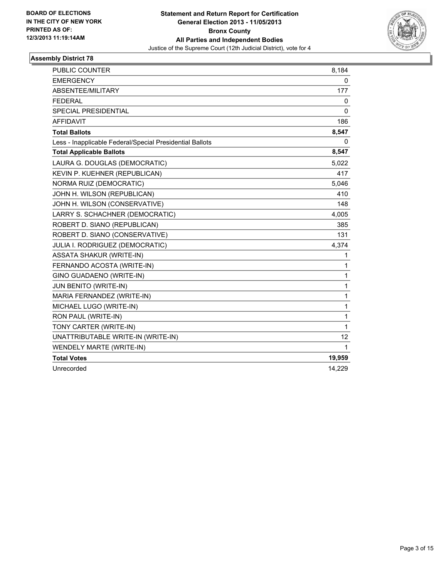

| PUBLIC COUNTER                                           | 8,184        |
|----------------------------------------------------------|--------------|
| <b>EMERGENCY</b>                                         | 0            |
| ABSENTEE/MILITARY                                        | 177          |
| <b>FEDERAL</b>                                           | 0            |
| SPECIAL PRESIDENTIAL                                     | 0            |
| <b>AFFIDAVIT</b>                                         | 186          |
| <b>Total Ballots</b>                                     | 8,547        |
| Less - Inapplicable Federal/Special Presidential Ballots | 0            |
| <b>Total Applicable Ballots</b>                          | 8,547        |
| LAURA G. DOUGLAS (DEMOCRATIC)                            | 5,022        |
| KEVIN P. KUEHNER (REPUBLICAN)                            | 417          |
| NORMA RUIZ (DEMOCRATIC)                                  | 5,046        |
| JOHN H. WILSON (REPUBLICAN)                              | 410          |
| JOHN H. WILSON (CONSERVATIVE)                            | 148          |
| LARRY S. SCHACHNER (DEMOCRATIC)                          | 4,005        |
| ROBERT D. SIANO (REPUBLICAN)                             | 385          |
| ROBERT D. SIANO (CONSERVATIVE)                           | 131          |
| JULIA I. RODRIGUEZ (DEMOCRATIC)                          | 4,374        |
| <b>ASSATA SHAKUR (WRITE-IN)</b>                          | 1            |
| FERNANDO ACOSTA (WRITE-IN)                               | 1            |
| GINO GUADAENO (WRITE-IN)                                 | 1            |
| JUN BENITO (WRITE-IN)                                    | 1            |
| MARIA FERNANDEZ (WRITE-IN)                               | 1            |
| MICHAEL LUGO (WRITE-IN)                                  | 1            |
| RON PAUL (WRITE-IN)                                      | 1            |
| TONY CARTER (WRITE-IN)                                   | $\mathbf{1}$ |
| UNATTRIBUTABLE WRITE-IN (WRITE-IN)                       | 12           |
| WENDELY MARTE (WRITE-IN)                                 | 1            |
| <b>Total Votes</b>                                       | 19,959       |
| Unrecorded                                               | 14,229       |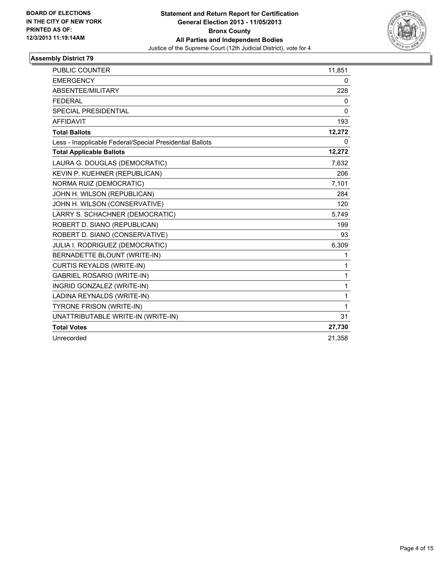

| PUBLIC COUNTER                                           | 11,851       |
|----------------------------------------------------------|--------------|
| <b>EMERGENCY</b>                                         | 0            |
| ABSENTEE/MILITARY                                        | 228          |
| <b>FEDERAL</b>                                           | $\mathbf{0}$ |
| <b>SPECIAL PRESIDENTIAL</b>                              | $\mathbf{0}$ |
| <b>AFFIDAVIT</b>                                         | 193          |
| <b>Total Ballots</b>                                     | 12,272       |
| Less - Inapplicable Federal/Special Presidential Ballots | $\mathbf{0}$ |
| <b>Total Applicable Ballots</b>                          | 12,272       |
| LAURA G. DOUGLAS (DEMOCRATIC)                            | 7,632        |
| KEVIN P. KUEHNER (REPUBLICAN)                            | 206          |
| NORMA RUIZ (DEMOCRATIC)                                  | 7,101        |
| JOHN H. WILSON (REPUBLICAN)                              | 284          |
| JOHN H. WILSON (CONSERVATIVE)                            | 120          |
| LARRY S. SCHACHNER (DEMOCRATIC)                          | 5,749        |
| ROBERT D. SIANO (REPUBLICAN)                             | 199          |
| ROBERT D. SIANO (CONSERVATIVE)                           | 93           |
| JULIA I. RODRIGUEZ (DEMOCRATIC)                          | 6,309        |
| BERNADETTE BLOUNT (WRITE-IN)                             | 1            |
| <b>CURTIS REYALDS (WRITE-IN)</b>                         | 1            |
| <b>GABRIEL ROSARIO (WRITE-IN)</b>                        | 1            |
| INGRID GONZALEZ (WRITE-IN)                               | 1            |
| LADINA REYNALDS (WRITE-IN)                               | 1            |
| <b>TYRONE FRISON (WRITE-IN)</b>                          | 1            |
| UNATTRIBUTABLE WRITE-IN (WRITE-IN)                       | 31           |
| <b>Total Votes</b>                                       | 27,730       |
| Unrecorded                                               | 21,358       |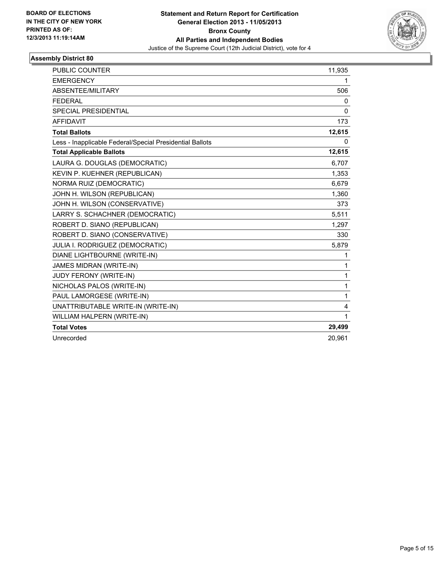

| <b>PUBLIC COUNTER</b>                                    | 11,935   |
|----------------------------------------------------------|----------|
| <b>EMERGENCY</b>                                         | 1        |
| <b>ABSENTEE/MILITARY</b>                                 | 506      |
| <b>FEDERAL</b>                                           | 0        |
| <b>SPECIAL PRESIDENTIAL</b>                              | $\Omega$ |
| <b>AFFIDAVIT</b>                                         | 173      |
| <b>Total Ballots</b>                                     | 12,615   |
| Less - Inapplicable Federal/Special Presidential Ballots | 0        |
| <b>Total Applicable Ballots</b>                          | 12,615   |
| LAURA G. DOUGLAS (DEMOCRATIC)                            | 6,707    |
| KEVIN P. KUEHNER (REPUBLICAN)                            | 1,353    |
| NORMA RUIZ (DEMOCRATIC)                                  | 6,679    |
| JOHN H. WILSON (REPUBLICAN)                              | 1,360    |
| JOHN H. WILSON (CONSERVATIVE)                            | 373      |
| LARRY S. SCHACHNER (DEMOCRATIC)                          | 5,511    |
| ROBERT D. SIANO (REPUBLICAN)                             | 1,297    |
| ROBERT D. SIANO (CONSERVATIVE)                           | 330      |
| JULIA I. RODRIGUEZ (DEMOCRATIC)                          | 5,879    |
| DIANE LIGHTBOURNE (WRITE-IN)                             | 1        |
| JAMES MIDRAN (WRITE-IN)                                  | 1        |
| JUDY FERONY (WRITE-IN)                                   | 1        |
| NICHOLAS PALOS (WRITE-IN)                                | 1        |
| PAUL LAMORGESE (WRITE-IN)                                | 1        |
| UNATTRIBUTABLE WRITE-IN (WRITE-IN)                       | 4        |
| WILLIAM HALPERN (WRITE-IN)                               | 1        |
| <b>Total Votes</b>                                       | 29,499   |
| Unrecorded                                               | 20,961   |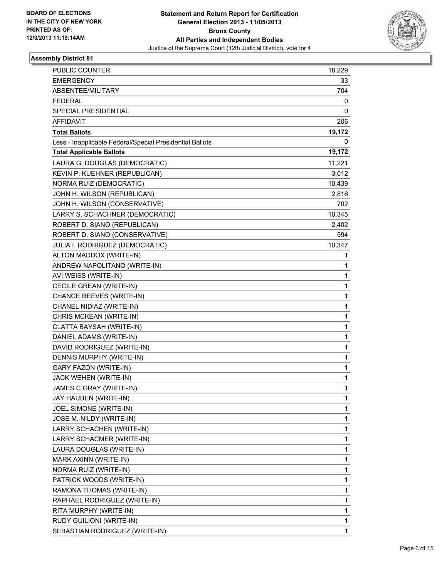

| PUBLIC COUNTER                                           | 18,229       |
|----------------------------------------------------------|--------------|
| <b>EMERGENCY</b>                                         | 33           |
| ABSENTEE/MILITARY                                        | 704          |
| <b>FEDERAL</b>                                           | 0            |
| SPECIAL PRESIDENTIAL                                     | 0            |
| AFFIDAVIT                                                | 206          |
| <b>Total Ballots</b>                                     | 19,172       |
| Less - Inapplicable Federal/Special Presidential Ballots | 0            |
| <b>Total Applicable Ballots</b>                          | 19,172       |
| LAURA G. DOUGLAS (DEMOCRATIC)                            | 11,221       |
| KEVIN P. KUEHNER (REPUBLICAN)                            | 3,012        |
| NORMA RUIZ (DEMOCRATIC)                                  | 10,439       |
| JOHN H. WILSON (REPUBLICAN)                              | 2,816        |
| JOHN H. WILSON (CONSERVATIVE)                            | 702          |
| LARRY S. SCHACHNER (DEMOCRATIC)                          | 10,345       |
| ROBERT D. SIANO (REPUBLICAN)                             | 2,402        |
| ROBERT D. SIANO (CONSERVATIVE)                           | 594          |
| JULIA I. RODRIGUEZ (DEMOCRATIC)                          | 10,347       |
| ALTON MADDOX (WRITE-IN)                                  | 1            |
| ANDREW NAPOLITANO (WRITE-IN)                             | 1            |
| AVI WEISS (WRITE-IN)                                     | 1            |
| CECILE GREAN (WRITE-IN)                                  | 1            |
| CHANCE REEVES (WRITE-IN)                                 | 1            |
| CHANEL NIDIAZ (WRITE-IN)                                 | 1            |
| CHRIS MCKEAN (WRITE-IN)                                  | 1            |
| CLATTA BAYSAH (WRITE-IN)                                 | 1            |
| DANIEL ADAMS (WRITE-IN)                                  | 1            |
| DAVID RODRIGUEZ (WRITE-IN)                               | 1            |
| DENNIS MURPHY (WRITE-IN)                                 | 1            |
| <b>GARY FAZON (WRITE-IN)</b>                             | 1            |
| JACK WEHEN (WRITE-IN)                                    | 1            |
| JAMES C GRAY (WRITE-IN)                                  | 1            |
| JAY HAUBEN (WRITE-IN)                                    | 1            |
| JOEL SIMONE (WRITE-IN)                                   | 1            |
| JOSE M. NILDY (WRITE-IN)                                 | 1            |
| LARRY SCHACHEN (WRITE-IN)                                | 1            |
| LARRY SCHACMER (WRITE-IN)                                | 1            |
| LAURA DOUGLAS (WRITE-IN)                                 | 1            |
| MARK AXINN (WRITE-IN)                                    | 1            |
| NORMA RUIZ (WRITE-IN)                                    | 1            |
| PATRICK WOODS (WRITE-IN)                                 | 1            |
| RAMONA THOMAS (WRITE-IN)                                 | 1            |
| RAPHAEL RODRIGUEZ (WRITE-IN)                             | 1            |
| RITA MURPHY (WRITE-IN)                                   | 1            |
| RUDY GUILIONI (WRITE-IN)                                 | 1            |
| SEBASTIAN RODRIGUEZ (WRITE-IN)                           | $\mathbf{1}$ |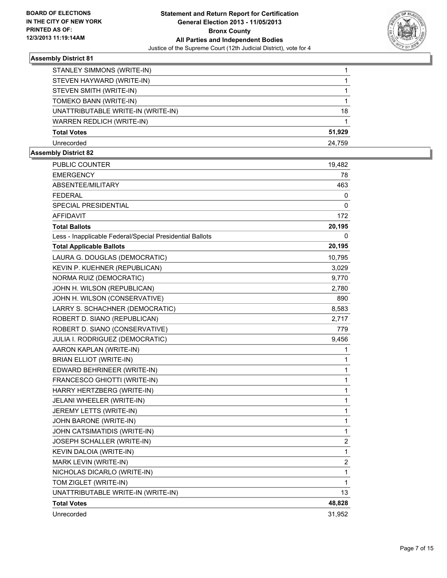

| STANLEY SIMMONS (WRITE-IN)         |        |
|------------------------------------|--------|
| STEVEN HAYWARD (WRITE-IN)          |        |
| STEVEN SMITH (WRITE-IN)            |        |
| TOMEKO BANN (WRITE-IN)             |        |
| UNATTRIBUTABLE WRITE-IN (WRITE-IN) | 18     |
| WARREN REDLICH (WRITE-IN)          |        |
| <b>Total Votes</b>                 | 51.929 |
| Unrecorded                         | 24.759 |

| <b>PUBLIC COUNTER</b>                                    | 19,482                  |
|----------------------------------------------------------|-------------------------|
| <b>EMERGENCY</b>                                         | 78                      |
| ABSENTEE/MILITARY                                        | 463                     |
| <b>FEDERAL</b>                                           | 0                       |
| SPECIAL PRESIDENTIAL                                     | 0                       |
| <b>AFFIDAVIT</b>                                         | 172                     |
| <b>Total Ballots</b>                                     | 20,195                  |
| Less - Inapplicable Federal/Special Presidential Ballots | 0                       |
| <b>Total Applicable Ballots</b>                          | 20,195                  |
| LAURA G. DOUGLAS (DEMOCRATIC)                            | 10,795                  |
| KEVIN P. KUEHNER (REPUBLICAN)                            | 3,029                   |
| NORMA RUIZ (DEMOCRATIC)                                  | 9,770                   |
| JOHN H. WILSON (REPUBLICAN)                              | 2,780                   |
| JOHN H. WILSON (CONSERVATIVE)                            | 890                     |
| LARRY S. SCHACHNER (DEMOCRATIC)                          | 8,583                   |
| ROBERT D. SIANO (REPUBLICAN)                             | 2,717                   |
| ROBERT D. SIANO (CONSERVATIVE)                           | 779                     |
| JULIA I. RODRIGUEZ (DEMOCRATIC)                          | 9,456                   |
| AARON KAPLAN (WRITE-IN)                                  | 1                       |
| <b>BRIAN ELLIOT (WRITE-IN)</b>                           | 1                       |
| EDWARD BEHRINEER (WRITE-IN)                              | 1                       |
| FRANCESCO GHIOTTI (WRITE-IN)                             | 1                       |
| HARRY HERTZBERG (WRITE-IN)                               | 1                       |
| JELANI WHEELER (WRITE-IN)                                | $\mathbf{1}$            |
| JEREMY LETTS (WRITE-IN)                                  | 1                       |
| JOHN BARONE (WRITE-IN)                                   | $\mathbf{1}$            |
| JOHN CATSIMATIDIS (WRITE-IN)                             | 1                       |
| JOSEPH SCHALLER (WRITE-IN)                               | $\overline{2}$          |
| KEVIN DALOIA (WRITE-IN)                                  | 1                       |
| MARK LEVIN (WRITE-IN)                                    | $\overline{\mathbf{c}}$ |
| NICHOLAS DICARLO (WRITE-IN)                              | $\mathbf 1$             |
| TOM ZIGLET (WRITE-IN)                                    | 1                       |
| UNATTRIBUTABLE WRITE-IN (WRITE-IN)                       | 13                      |
| <b>Total Votes</b>                                       | 48,828                  |
| Unrecorded                                               | 31,952                  |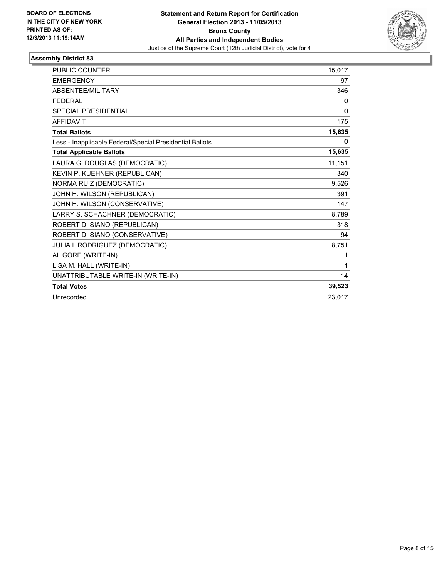

| <b>PUBLIC COUNTER</b>                                    | 15.017 |
|----------------------------------------------------------|--------|
| <b>EMERGENCY</b>                                         | 97     |
| ABSENTEE/MILITARY                                        | 346    |
| <b>FEDERAL</b>                                           | 0      |
| SPECIAL PRESIDENTIAL                                     | 0      |
| <b>AFFIDAVIT</b>                                         | 175    |
| <b>Total Ballots</b>                                     | 15,635 |
| Less - Inapplicable Federal/Special Presidential Ballots | 0      |
| <b>Total Applicable Ballots</b>                          | 15,635 |
| LAURA G. DOUGLAS (DEMOCRATIC)                            | 11,151 |
| KEVIN P. KUEHNER (REPUBLICAN)                            | 340    |
| NORMA RUIZ (DEMOCRATIC)                                  | 9,526  |
| JOHN H. WILSON (REPUBLICAN)                              | 391    |
| JOHN H. WILSON (CONSERVATIVE)                            | 147    |
| LARRY S. SCHACHNER (DEMOCRATIC)                          | 8,789  |
| ROBERT D. SIANO (REPUBLICAN)                             | 318    |
| ROBERT D. SIANO (CONSERVATIVE)                           | 94     |
| JULIA I. RODRIGUEZ (DEMOCRATIC)                          | 8,751  |
| AL GORE (WRITE-IN)                                       | 1      |
| LISA M. HALL (WRITE-IN)                                  | 1      |
| UNATTRIBUTABLE WRITE-IN (WRITE-IN)                       | 14     |
| <b>Total Votes</b>                                       | 39,523 |
| Unrecorded                                               | 23.017 |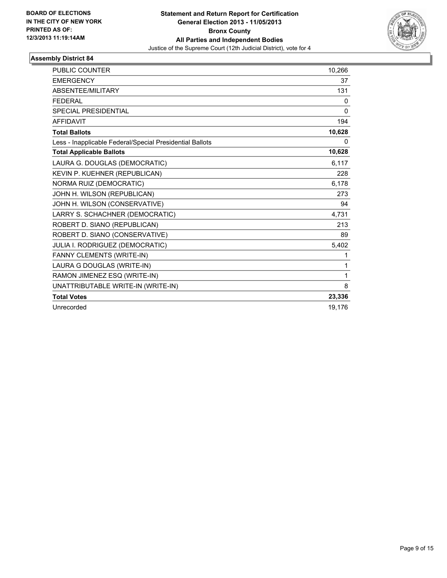

| <b>PUBLIC COUNTER</b>                                    | 10,266   |
|----------------------------------------------------------|----------|
| <b>EMERGENCY</b>                                         | 37       |
| <b>ABSENTEE/MILITARY</b>                                 | 131      |
| <b>FEDERAL</b>                                           | 0        |
| SPECIAL PRESIDENTIAL                                     | $\Omega$ |
| <b>AFFIDAVIT</b>                                         | 194      |
| <b>Total Ballots</b>                                     | 10,628   |
| Less - Inapplicable Federal/Special Presidential Ballots | 0        |
| <b>Total Applicable Ballots</b>                          | 10,628   |
| LAURA G. DOUGLAS (DEMOCRATIC)                            | 6,117    |
| KEVIN P. KUEHNER (REPUBLICAN)                            | 228      |
| NORMA RUIZ (DEMOCRATIC)                                  | 6,178    |
| JOHN H. WILSON (REPUBLICAN)                              | 273      |
| JOHN H. WILSON (CONSERVATIVE)                            | 94       |
| LARRY S. SCHACHNER (DEMOCRATIC)                          | 4,731    |
| ROBERT D. SIANO (REPUBLICAN)                             | 213      |
| ROBERT D. SIANO (CONSERVATIVE)                           | 89       |
| JULIA I. RODRIGUEZ (DEMOCRATIC)                          | 5,402    |
| FANNY CLEMENTS (WRITE-IN)                                | 1        |
| LAURA G DOUGLAS (WRITE-IN)                               | 1        |
| RAMON JIMENEZ ESQ (WRITE-IN)                             | 1        |
| UNATTRIBUTABLE WRITE-IN (WRITE-IN)                       | 8        |
| <b>Total Votes</b>                                       | 23,336   |
| Unrecorded                                               | 19,176   |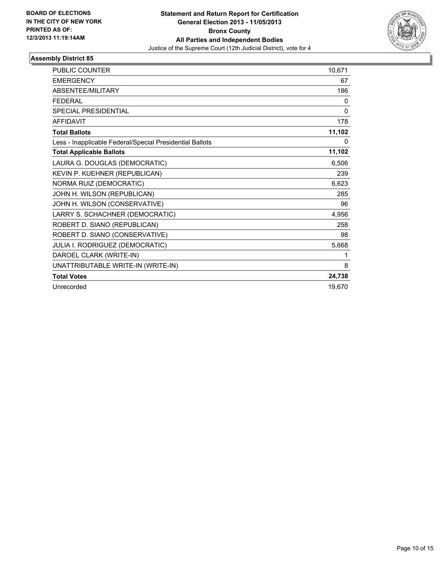

| <b>PUBLIC COUNTER</b>                                    | 10,671 |
|----------------------------------------------------------|--------|
| <b>EMERGENCY</b>                                         | 67     |
| <b>ABSENTEE/MILITARY</b>                                 | 186    |
| <b>FEDERAL</b>                                           | 0      |
| <b>SPECIAL PRESIDENTIAL</b>                              | 0      |
| <b>AFFIDAVIT</b>                                         | 178    |
| <b>Total Ballots</b>                                     | 11,102 |
| Less - Inapplicable Federal/Special Presidential Ballots | 0      |
| <b>Total Applicable Ballots</b>                          | 11,102 |
| LAURA G. DOUGLAS (DEMOCRATIC)                            | 6,506  |
| KEVIN P. KUEHNER (REPUBLICAN)                            | 239    |
| NORMA RUIZ (DEMOCRATIC)                                  | 6,623  |
| JOHN H. WILSON (REPUBLICAN)                              | 285    |
| JOHN H. WILSON (CONSERVATIVE)                            | 96     |
| LARRY S. SCHACHNER (DEMOCRATIC)                          | 4,956  |
| ROBERT D. SIANO (REPUBLICAN)                             | 258    |
| ROBERT D. SIANO (CONSERVATIVE)                           | 98     |
| JULIA I. RODRIGUEZ (DEMOCRATIC)                          | 5,668  |
| DAROEL CLARK (WRITE-IN)                                  | 1      |
| UNATTRIBUTABLE WRITE-IN (WRITE-IN)                       | 8      |
| <b>Total Votes</b>                                       | 24,738 |
| Unrecorded                                               | 19,670 |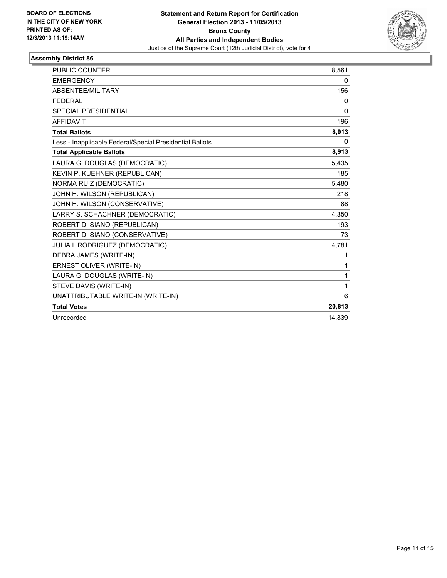

| PUBLIC COUNTER                                           | 8,561        |
|----------------------------------------------------------|--------------|
| <b>EMERGENCY</b>                                         | 0            |
| ABSENTEE/MILITARY                                        | 156          |
| <b>FEDERAL</b>                                           | 0            |
| <b>SPECIAL PRESIDENTIAL</b>                              | $\mathbf{0}$ |
| <b>AFFIDAVIT</b>                                         | 196          |
| <b>Total Ballots</b>                                     | 8,913        |
| Less - Inapplicable Federal/Special Presidential Ballots | 0            |
| <b>Total Applicable Ballots</b>                          | 8,913        |
| LAURA G. DOUGLAS (DEMOCRATIC)                            | 5,435        |
| KEVIN P. KUEHNER (REPUBLICAN)                            | 185          |
| NORMA RUIZ (DEMOCRATIC)                                  | 5,480        |
| JOHN H. WILSON (REPUBLICAN)                              | 218          |
| JOHN H. WILSON (CONSERVATIVE)                            | 88           |
| LARRY S. SCHACHNER (DEMOCRATIC)                          | 4,350        |
| ROBERT D. SIANO (REPUBLICAN)                             | 193          |
| ROBERT D. SIANO (CONSERVATIVE)                           | 73           |
| JULIA I. RODRIGUEZ (DEMOCRATIC)                          | 4,781        |
| DEBRA JAMES (WRITE-IN)                                   | 1            |
| ERNEST OLIVER (WRITE-IN)                                 | 1            |
| LAURA G. DOUGLAS (WRITE-IN)                              | 1            |
| STEVE DAVIS (WRITE-IN)                                   | 1            |
| UNATTRIBUTABLE WRITE-IN (WRITE-IN)                       | 6            |
| <b>Total Votes</b>                                       | 20,813       |
| Unrecorded                                               | 14.839       |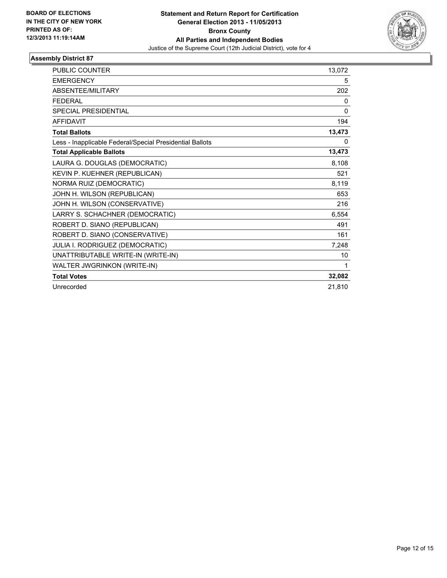

| <b>PUBLIC COUNTER</b>                                    | 13,072       |
|----------------------------------------------------------|--------------|
| <b>EMERGENCY</b>                                         | 5            |
| <b>ABSENTEE/MILITARY</b>                                 | 202          |
| <b>FEDERAL</b>                                           | 0            |
| <b>SPECIAL PRESIDENTIAL</b>                              | $\mathbf{0}$ |
| <b>AFFIDAVIT</b>                                         | 194          |
| <b>Total Ballots</b>                                     | 13,473       |
| Less - Inapplicable Federal/Special Presidential Ballots | 0            |
| <b>Total Applicable Ballots</b>                          | 13,473       |
| LAURA G. DOUGLAS (DEMOCRATIC)                            | 8,108        |
| KEVIN P. KUEHNER (REPUBLICAN)                            | 521          |
| NORMA RUIZ (DEMOCRATIC)                                  | 8,119        |
| JOHN H. WILSON (REPUBLICAN)                              | 653          |
| JOHN H. WILSON (CONSERVATIVE)                            | 216          |
| LARRY S. SCHACHNER (DEMOCRATIC)                          | 6,554        |
| ROBERT D. SIANO (REPUBLICAN)                             | 491          |
| ROBERT D. SIANO (CONSERVATIVE)                           | 161          |
| JULIA I. RODRIGUEZ (DEMOCRATIC)                          | 7,248        |
| UNATTRIBUTABLE WRITE-IN (WRITE-IN)                       | 10           |
| WALTER JWGRINKON (WRITE-IN)                              | 1            |
| <b>Total Votes</b>                                       | 32,082       |
| Unrecorded                                               | 21,810       |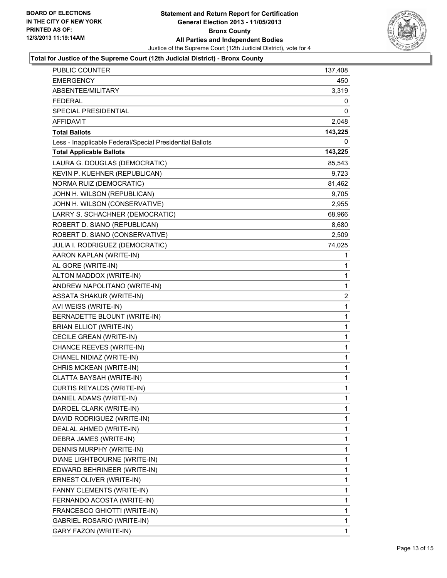

#### **Total for Justice of the Supreme Court (12th Judicial District) - Bronx County**

| <b>PUBLIC COUNTER</b>                                    | 137,408                 |
|----------------------------------------------------------|-------------------------|
| <b>EMERGENCY</b>                                         | 450                     |
| ABSENTEE/MILITARY                                        | 3,319                   |
| <b>FEDERAL</b>                                           | 0                       |
| <b>SPECIAL PRESIDENTIAL</b>                              | 0                       |
| AFFIDAVIT                                                | 2,048                   |
| <b>Total Ballots</b>                                     | 143,225                 |
| Less - Inapplicable Federal/Special Presidential Ballots | 0                       |
| <b>Total Applicable Ballots</b>                          | 143,225                 |
| LAURA G. DOUGLAS (DEMOCRATIC)                            | 85,543                  |
| KEVIN P. KUEHNER (REPUBLICAN)                            | 9,723                   |
| NORMA RUIZ (DEMOCRATIC)                                  | 81,462                  |
| JOHN H. WILSON (REPUBLICAN)                              | 9,705                   |
| JOHN H. WILSON (CONSERVATIVE)                            | 2,955                   |
| LARRY S. SCHACHNER (DEMOCRATIC)                          | 68,966                  |
| ROBERT D. SIANO (REPUBLICAN)                             | 8,680                   |
| ROBERT D. SIANO (CONSERVATIVE)                           | 2,509                   |
| JULIA I. RODRIGUEZ (DEMOCRATIC)                          | 74,025                  |
| AARON KAPLAN (WRITE-IN)                                  | 1                       |
| AL GORE (WRITE-IN)                                       | 1                       |
| ALTON MADDOX (WRITE-IN)                                  | 1                       |
| ANDREW NAPOLITANO (WRITE-IN)                             | 1                       |
| <b>ASSATA SHAKUR (WRITE-IN)</b>                          | $\overline{\mathbf{c}}$ |
| AVI WEISS (WRITE-IN)                                     | 1                       |
| BERNADETTE BLOUNT (WRITE-IN)                             | 1                       |
| <b>BRIAN ELLIOT (WRITE-IN)</b>                           | 1                       |
| CECILE GREAN (WRITE-IN)                                  | 1                       |
| CHANCE REEVES (WRITE-IN)                                 | $\mathbf{1}$            |
| CHANEL NIDIAZ (WRITE-IN)                                 | 1                       |
| CHRIS MCKEAN (WRITE-IN)                                  | $\mathbf 1$             |
| CLATTA BAYSAH (WRITE-IN)                                 | $\mathbf 1$             |
| <b>CURTIS REYALDS (WRITE-IN)</b>                         | $\mathbf{1}$            |
| DANIEL ADAMS (WRITE-IN)                                  | 1                       |
| DAROEL CLARK (WRITE-IN)                                  | 1                       |
| DAVID RODRIGUEZ (WRITE-IN)                               | 1                       |
| DEALAL AHMED (WRITE-IN)                                  | 1                       |
| DEBRA JAMES (WRITE-IN)                                   | 1                       |
| DENNIS MURPHY (WRITE-IN)                                 | 1                       |
| DIANE LIGHTBOURNE (WRITE-IN)                             | 1                       |
| EDWARD BEHRINEER (WRITE-IN)                              | 1                       |
| ERNEST OLIVER (WRITE-IN)                                 | 1                       |
| FANNY CLEMENTS (WRITE-IN)                                | 1                       |
| FERNANDO ACOSTA (WRITE-IN)                               | 1                       |
| FRANCESCO GHIOTTI (WRITE-IN)                             | 1                       |
| <b>GABRIEL ROSARIO (WRITE-IN)</b>                        | 1                       |
| GARY FAZON (WRITE-IN)                                    | 1                       |
|                                                          |                         |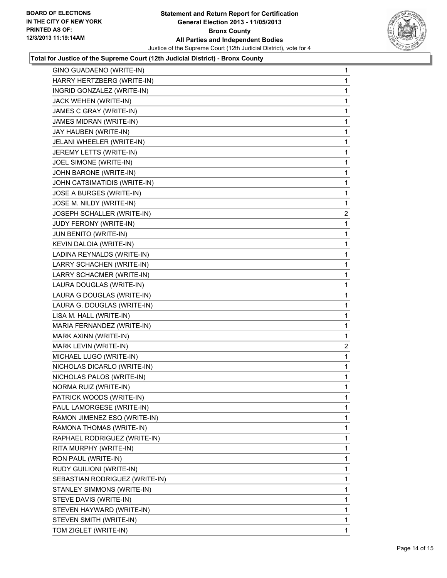

#### **Total for Justice of the Supreme Court (12th Judicial District) - Bronx County**

| GINO GUADAENO (WRITE-IN)       | 1              |
|--------------------------------|----------------|
| HARRY HERTZBERG (WRITE-IN)     | 1              |
| INGRID GONZALEZ (WRITE-IN)     | 1              |
| JACK WEHEN (WRITE-IN)          | 1              |
| JAMES C GRAY (WRITE-IN)        | 1              |
| JAMES MIDRAN (WRITE-IN)        | 1              |
| JAY HAUBEN (WRITE-IN)          | 1              |
| JELANI WHEELER (WRITE-IN)      | 1              |
| JEREMY LETTS (WRITE-IN)        | 1              |
| JOEL SIMONE (WRITE-IN)         | 1              |
| JOHN BARONE (WRITE-IN)         | 1              |
| JOHN CATSIMATIDIS (WRITE-IN)   | 1              |
| JOSE A BURGES (WRITE-IN)       | 1              |
| JOSE M. NILDY (WRITE-IN)       | 1              |
| JOSEPH SCHALLER (WRITE-IN)     | $\overline{2}$ |
| JUDY FERONY (WRITE-IN)         | 1              |
| JUN BENITO (WRITE-IN)          | 1              |
| KEVIN DALOIA (WRITE-IN)        | 1              |
| LADINA REYNALDS (WRITE-IN)     | 1              |
| LARRY SCHACHEN (WRITE-IN)      | 1              |
| LARRY SCHACMER (WRITE-IN)      | 1              |
| LAURA DOUGLAS (WRITE-IN)       | 1              |
| LAURA G DOUGLAS (WRITE-IN)     | 1              |
| LAURA G. DOUGLAS (WRITE-IN)    | 1              |
| LISA M. HALL (WRITE-IN)        | 1              |
| MARIA FERNANDEZ (WRITE-IN)     | 1              |
| MARK AXINN (WRITE-IN)          | 1              |
| MARK LEVIN (WRITE-IN)          | 2              |
| MICHAEL LUGO (WRITE-IN)        | 1              |
| NICHOLAS DICARLO (WRITE-IN)    | 1              |
| NICHOLAS PALOS (WRITE-IN)      | 1              |
| NORMA RUIZ (WRITE-IN)          | 1              |
| PATRICK WOODS (WRITE-IN)       | 1              |
| PAUL LAMORGESE (WRITE-IN)      | 1              |
| RAMON JIMENEZ ESQ (WRITE-IN)   | 1              |
| RAMONA THOMAS (WRITE-IN)       | 1              |
| RAPHAEL RODRIGUEZ (WRITE-IN)   | 1              |
| RITA MURPHY (WRITE-IN)         | 1              |
| RON PAUL (WRITE-IN)            | 1              |
| RUDY GUILIONI (WRITE-IN)       | 1              |
| SEBASTIAN RODRIGUEZ (WRITE-IN) | 1              |
| STANLEY SIMMONS (WRITE-IN)     | 1              |
| STEVE DAVIS (WRITE-IN)         | 1              |
| STEVEN HAYWARD (WRITE-IN)      | 1              |
| STEVEN SMITH (WRITE-IN)        | 1              |
| TOM ZIGLET (WRITE-IN)          | 1              |
|                                |                |